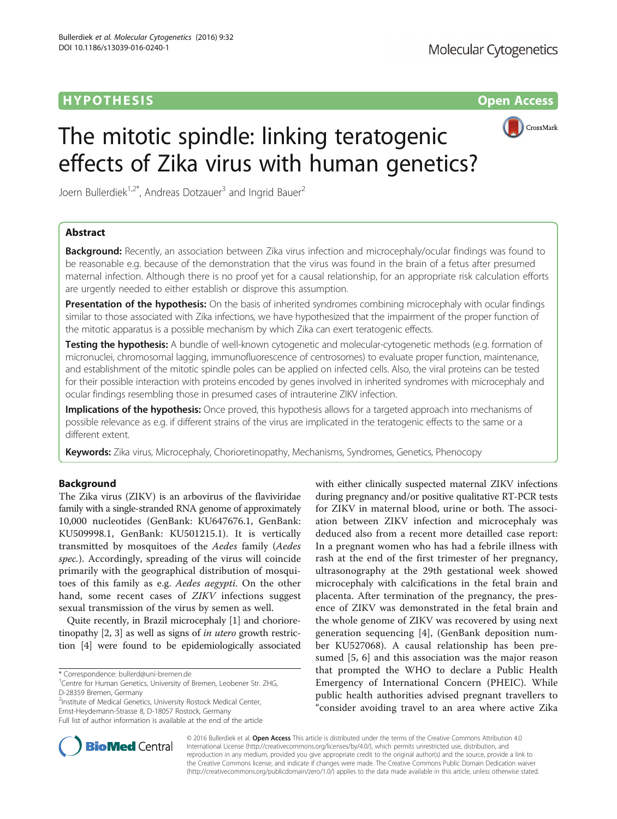## **HYPOTHESIS CONSUMING A SIGNAL CONSUMING A SIGNAL CONSUMING A SIGNAL CONSUMING A SIGNAL CONSUMING A SIGNAL CONSUMING A SIGNAL CONSUMING A SIGNAL CONSUMING A SIGNAL CONSUMING A SIGNAL CONSUMING A SIGNAL CONSUMING A SIGNAL**



# The mitotic spindle: linking teratogenic effects of Zika virus with human genetics?

Joern Bullerdiek<sup>1,2\*</sup>, Andreas Dotzauer<sup>3</sup> and Ingrid Bauer<sup>2</sup>

## Abstract

**Background:** Recently, an association between Zika virus infection and microcephaly/ocular findings was found to be reasonable e.g. because of the demonstration that the virus was found in the brain of a fetus after presumed maternal infection. Although there is no proof yet for a causal relationship, for an appropriate risk calculation efforts are urgently needed to either establish or disprove this assumption.

Presentation of the hypothesis: On the basis of inherited syndromes combining microcephaly with ocular findings similar to those associated with Zika infections, we have hypothesized that the impairment of the proper function of the mitotic apparatus is a possible mechanism by which Zika can exert teratogenic effects.

**Testing the hypothesis:** A bundle of well-known cytogenetic and molecular-cytogenetic methods (e.g. formation of micronuclei, chromosomal lagging, immunofluorescence of centrosomes) to evaluate proper function, maintenance, and establishment of the mitotic spindle poles can be applied on infected cells. Also, the viral proteins can be tested for their possible interaction with proteins encoded by genes involved in inherited syndromes with microcephaly and ocular findings resembling those in presumed cases of intrauterine ZIKV infection.

Implications of the hypothesis: Once proved, this hypothesis allows for a targeted approach into mechanisms of possible relevance as e.g. if different strains of the virus are implicated in the teratogenic effects to the same or a different extent.

Keywords: Zika virus, Microcephaly, Chorioretinopathy, Mechanisms, Syndromes, Genetics, Phenocopy

### Background

The Zika virus (ZIKV) is an arbovirus of the flaviviridae family with a single-stranded RNA genome of approximately 10,000 nucleotides (GenBank: KU647676.1, GenBank: KU509998.1, GenBank: KU501215.1). It is vertically transmitted by mosquitoes of the Aedes family (Aedes spec.). Accordingly, spreading of the virus will coincide primarily with the geographical distribution of mosquitoes of this family as e.g. Aedes aegypti. On the other hand, some recent cases of ZIKV infections suggest sexual transmission of the virus by semen as well.

Quite recently, in Brazil microcephaly [\[1](#page-2-0)] and choriore-tinopathy [[2, 3](#page-2-0)] as well as signs of *in utero* growth restriction [\[4\]](#page-2-0) were found to be epidemiologically associated

<sup>1</sup> Centre for Human Genetics, University of Bremen, Leobener Str. ZHG, D-28359 Bremen, Germany

<sup>2</sup>Institute of Medical Genetics, University Rostock Medical Center,

Ernst-Heydemann-Strasse 8, D-18057 Rostock, Germany

with either clinically suspected maternal ZIKV infections during pregnancy and/or positive qualitative RT-PCR tests for ZIKV in maternal blood, urine or both. The association between ZIKV infection and microcephaly was deduced also from a recent more detailled case report: In a pregnant women who has had a febrile illness with rash at the end of the first trimester of her pregnancy, ultrasonography at the 29th gestational week showed microcephaly with calcifications in the fetal brain and placenta. After termination of the pregnancy, the presence of ZIKV was demonstrated in the fetal brain and the whole genome of ZIKV was recovered by using next generation sequencing [\[4](#page-2-0)], (GenBank deposition number KU527068). A causal relationship has been presumed [[5, 6\]](#page-2-0) and this association was the major reason that prompted the WHO to declare a Public Health Emergency of International Concern (PHEIC). While public health authorities advised pregnant travellers to "consider avoiding travel to an area where active Zika



© 2016 Bullerdiek et al. Open Access This article is distributed under the terms of the Creative Commons Attribution 4.0 International License [\(http://creativecommons.org/licenses/by/4.0/](http://creativecommons.org/licenses/by/4.0/)), which permits unrestricted use, distribution, and reproduction in any medium, provided you give appropriate credit to the original author(s) and the source, provide a link to the Creative Commons license, and indicate if changes were made. The Creative Commons Public Domain Dedication waiver [\(http://creativecommons.org/publicdomain/zero/1.0/](http://creativecommons.org/publicdomain/zero/1.0/)) applies to the data made available in this article, unless otherwise stated.

<sup>\*</sup> Correspondence: [bullerd@uni-bremen.de](mailto:bullerd@uni-bremen.de) <sup>1</sup>

Full list of author information is available at the end of the article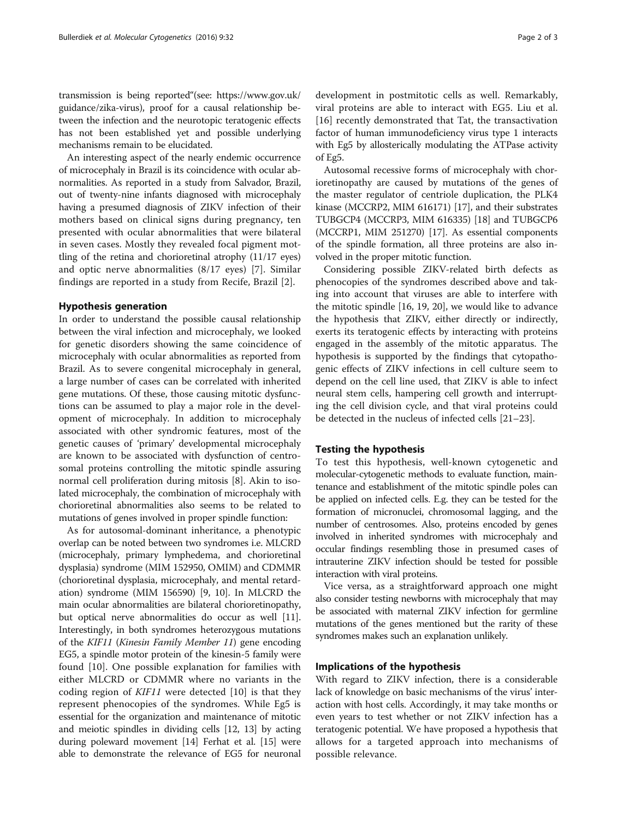transmission is being reported"(see: [https://www.gov.uk/](https://www.gov.uk/guidance/zika-virus) [guidance/zika-virus\)](https://www.gov.uk/guidance/zika-virus), proof for a causal relationship between the infection and the neurotopic teratogenic effects has not been established yet and possible underlying mechanisms remain to be elucidated.

An interesting aspect of the nearly endemic occurrence of microcephaly in Brazil is its coincidence with ocular abnormalities. As reported in a study from Salvador, Brazil, out of twenty-nine infants diagnosed with microcephaly having a presumed diagnosis of ZIKV infection of their mothers based on clinical signs during pregnancy, ten presented with ocular abnormalities that were bilateral in seven cases. Mostly they revealed focal pigment mottling of the retina and chorioretinal atrophy (11/17 eyes) and optic nerve abnormalities (8/17 eyes) [[7\]](#page-2-0). Similar findings are reported in a study from Recife, Brazil [[2\]](#page-2-0).

#### Hypothesis generation

In order to understand the possible causal relationship between the viral infection and microcephaly, we looked for genetic disorders showing the same coincidence of microcephaly with ocular abnormalities as reported from Brazil. As to severe congenital microcephaly in general, a large number of cases can be correlated with inherited gene mutations. Of these, those causing mitotic dysfunctions can be assumed to play a major role in the development of microcephaly. In addition to microcephaly associated with other syndromic features, most of the genetic causes of 'primary' developmental microcephaly are known to be associated with dysfunction of centrosomal proteins controlling the mitotic spindle assuring normal cell proliferation during mitosis [[8\]](#page-2-0). Akin to isolated microcephaly, the combination of microcephaly with chorioretinal abnormalities also seems to be related to mutations of genes involved in proper spindle function:

As for autosomal-dominant inheritance, a phenotypic overlap can be noted between two syndromes i.e. MLCRD (microcephaly, primary lymphedema, and chorioretinal dysplasia) syndrome (MIM 152950, OMIM) and CDMMR (chorioretinal dysplasia, microcephaly, and mental retardation) syndrome (MIM 156590) [\[9](#page-2-0), [10](#page-2-0)]. In MLCRD the main ocular abnormalities are bilateral chorioretinopathy, but optical nerve abnormalities do occur as well [[11](#page-2-0)]. Interestingly, in both syndromes heterozygous mutations of the KIF11 (Kinesin Family Member 11) gene encoding EG5, a spindle motor protein of the kinesin-5 family were found [\[10](#page-2-0)]. One possible explanation for families with either MLCRD or CDMMR where no variants in the coding region of KIF11 were detected [\[10](#page-2-0)] is that they represent phenocopies of the syndromes. While Eg5 is essential for the organization and maintenance of mitotic and meiotic spindles in dividing cells [[12](#page-2-0), [13](#page-2-0)] by acting during poleward movement [[14\]](#page-2-0) Ferhat et al. [\[15\]](#page-2-0) were able to demonstrate the relevance of EG5 for neuronal development in postmitotic cells as well. Remarkably, viral proteins are able to interact with EG5. Liu et al. [[16\]](#page-2-0) recently demonstrated that Tat, the transactivation factor of human immunodeficiency virus type 1 interacts with Eg5 by allosterically modulating the ATPase activity of Eg5.

Autosomal recessive forms of microcephaly with chorioretinopathy are caused by mutations of the genes of the master regulator of centriole duplication, the PLK4 kinase (MCCRP2, MIM 616171) [[17](#page-2-0)], and their substrates TUBGCP4 (MCCRP3, MIM 616335) [\[18\]](#page-2-0) and TUBGCP6 (MCCRP1, MIM 251270) [\[17\]](#page-2-0). As essential components of the spindle formation, all three proteins are also involved in the proper mitotic function.

Considering possible ZIKV-related birth defects as phenocopies of the syndromes described above and taking into account that viruses are able to interfere with the mitotic spindle [[16, 19](#page-2-0), [20](#page-2-0)], we would like to advance the hypothesis that ZIKV, either directly or indirectly, exerts its teratogenic effects by interacting with proteins engaged in the assembly of the mitotic apparatus. The hypothesis is supported by the findings that cytopathogenic effects of ZIKV infections in cell culture seem to depend on the cell line used, that ZIKV is able to infect neural stem cells, hampering cell growth and interrupting the cell division cycle, and that viral proteins could be detected in the nucleus of infected cells [[21](#page-2-0)–[23](#page-2-0)].

#### Testing the hypothesis

To test this hypothesis, well-known cytogenetic and molecular-cytogenetic methods to evaluate function, maintenance and establishment of the mitotic spindle poles can be applied on infected cells. E.g. they can be tested for the formation of micronuclei, chromosomal lagging, and the number of centrosomes. Also, proteins encoded by genes involved in inherited syndromes with microcephaly and occular findings resembling those in presumed cases of intrauterine ZIKV infection should be tested for possible interaction with viral proteins.

Vice versa, as a straightforward approach one might also consider testing newborns with microcephaly that may be associated with maternal ZIKV infection for germline mutations of the genes mentioned but the rarity of these syndromes makes such an explanation unlikely.

#### Implications of the hypothesis

With regard to ZIKV infection, there is a considerable lack of knowledge on basic mechanisms of the virus' interaction with host cells. Accordingly, it may take months or even years to test whether or not ZIKV infection has a teratogenic potential. We have proposed a hypothesis that allows for a targeted approach into mechanisms of possible relevance.